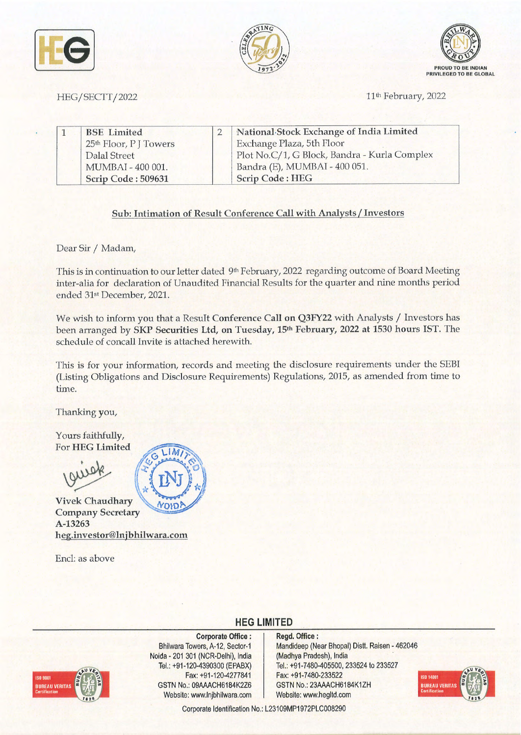





HEG/SECTT/2022 11th February, 2022

|  | <b>BSE</b> Limited                | National Stock Exchange of India Limited     |
|--|-----------------------------------|----------------------------------------------|
|  | 25 <sup>th</sup> Floor, PJ Towers | Exchange Plaza, 5th Floor                    |
|  | Dalal Street                      | Plot No.C/1, G Block, Bandra - Kurla Complex |
|  | MUMBAI - 400 001.                 | Bandra (E), MUMBAI - 400 051.                |
|  | Scrip Code: 509631                | <b>Scrip Code: HEG</b>                       |

## **Sub: Intimation of Result Conference Call with Analysts/ Investors**

Dear Sir / Madam,

This is in continuation to our letter dated 9<sup>th</sup> February, 2022 regarding outcome of Board Meeting inter-aha for declaration of Unaudited Financial Results for the quarter and nine months period ended 31st December, 2021.

We wish to inform you that a Result **Conference Call on Q3FY22** with Analysts/ Investors has been arranged by **SKP Securities Ltd, on Tuesday, 15th February, 2022 at 1530 hours IST.** The schedule of concall Invite is attached herewith.

This is for your information, records and meeting the disclosure requirements under the SEBI (Listing Obligations and Disclosure Requirements) Regulations, 2015, as amended from time to time.

Thanking you,

Yours faithfully, For **HEG Limited** 

**Vivek Chaudhary**  01D! **Company Secretary A-13263 heg.investor@lnjbhilwara.com** 

Encl: as above



# **HEG LIMITED**



**Corporate Office** : Bhilwara Towers, A-12, Sector-1 Noida - 201 301 (NCR-Delhi), India Tel.: +91-120-4390300 (EPABX) Fax: +91-120-4277841 GSTN No.: 09AAACH6184K2Z6 Website: www.lnjbhilwara.com | Website: www.hegltd.com

**Regd. Office** : Mandideep (Near Bhopal) Distt. Raisen - 462046 (Madhya Pradesh), India · Tel.: +91-7480-405500, 233524 to 233527 Fax: +91-7480-233522 GSTN No.: 23AAACH6184K1ZH



Corporate Identification No.: L23109MP1972PLC008290